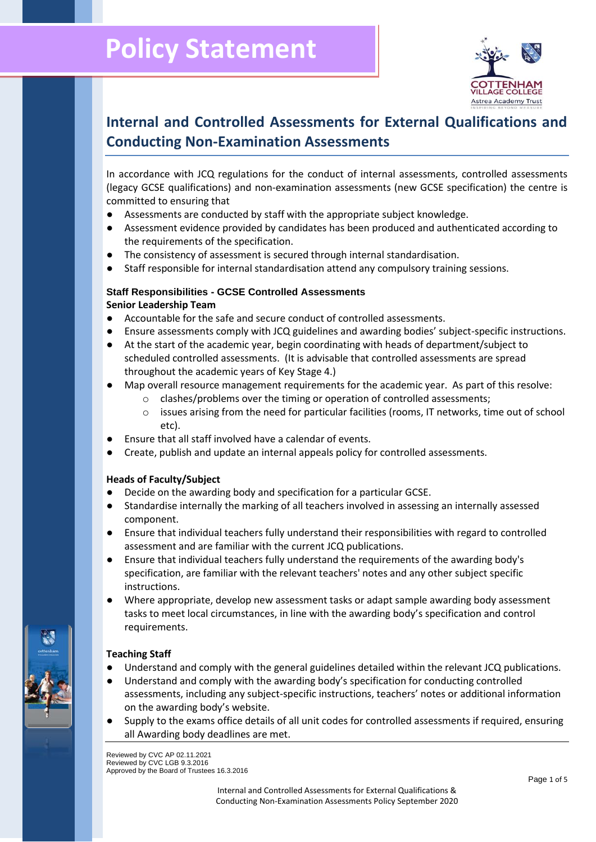

### **Internal and Controlled Assessments for External Qualifications and Conducting Non-Examination Assessments**

In accordance with JCQ regulations for the conduct of internal assessments, controlled assessments (legacy GCSE qualifications) and non-examination assessments (new GCSE specification) the centre is committed to ensuring that

- Assessments are conducted by staff with the appropriate subject knowledge.
- Assessment evidence provided by candidates has been produced and authenticated according to the requirements of the specification.
- The consistency of assessment is secured through internal standardisation.
- Staff responsible for internal standardisation attend any compulsory training sessions.

#### **Staff Responsibilities - GCSE Controlled Assessments Senior Leadership Team**

- Accountable for the safe and secure conduct of controlled assessments.
- Ensure assessments comply with JCQ guidelines and awarding bodies' subject-specific instructions.
- At the start of the academic year, begin coordinating with heads of department/subject to scheduled controlled assessments. (It is advisable that controlled assessments are spread throughout the academic years of Key Stage 4.)
- Map overall resource management requirements for the academic year. As part of this resolve:
	- o clashes/problems over the timing or operation of controlled assessments;
	- $\circ$  issues arising from the need for particular facilities (rooms, IT networks, time out of school etc).
- Ensure that all staff involved have a calendar of events.
- Create, publish and update an internal appeals policy for controlled assessments.

#### **Heads of Faculty/Subject**

- Decide on the awarding body and specification for a particular GCSE.
- Standardise internally the marking of all teachers involved in assessing an internally assessed component.
- Ensure that individual teachers fully understand their responsibilities with regard to controlled assessment and are familiar with the current JCQ publications.
- Ensure that individual teachers fully understand the requirements of the awarding body's specification, are familiar with the relevant teachers' notes and any other subject specific instructions.
- Where appropriate, develop new assessment tasks or adapt sample awarding body assessment tasks to meet local circumstances, in line with the awarding body's specification and control requirements.

#### **Teaching Staff**

- Understand and comply with the general guidelines detailed within the relevant JCQ publications.
- Understand and comply with the awarding body's specification for conducting controlled assessments, including any subject-specific instructions, teachers' notes or additional information on the awarding body's website.
- Supply to the exams office details of all unit codes for controlled assessments if required, ensuring all Awarding body deadlines are met.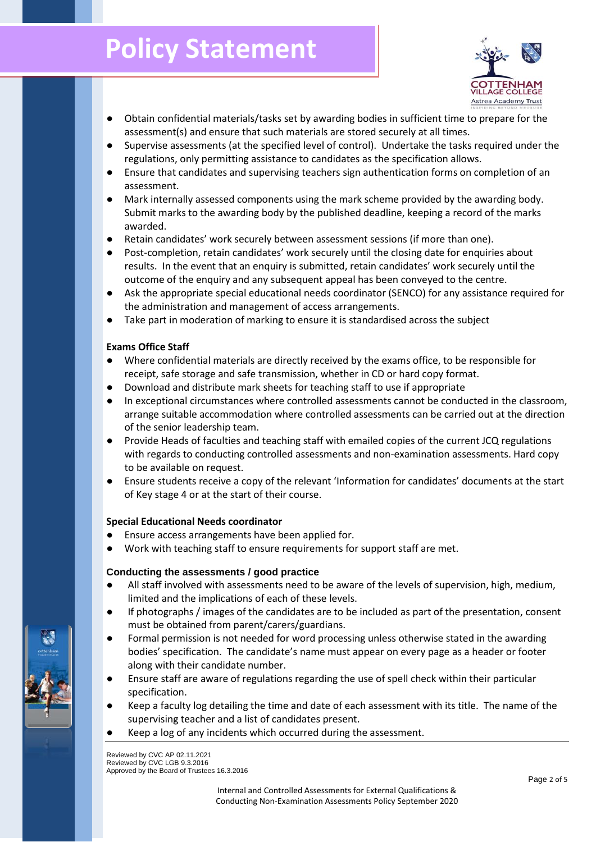## **Policy Statement**



- Obtain confidential materials/tasks set by awarding bodies in sufficient time to prepare for the assessment(s) and ensure that such materials are stored securely at all times.
- Supervise assessments (at the specified level of control). Undertake the tasks required under the regulations, only permitting assistance to candidates as the specification allows.
- Ensure that candidates and supervising teachers sign authentication forms on completion of an assessment.
- Mark internally assessed components using the mark scheme provided by the awarding body. Submit marks to the awarding body by the published deadline, keeping a record of the marks awarded.
- Retain candidates' work securely between assessment sessions (if more than one).
- Post-completion, retain candidates' work securely until the closing date for enquiries about results. In the event that an enquiry is submitted, retain candidates' work securely until the outcome of the enquiry and any subsequent appeal has been conveyed to the centre.
- Ask the appropriate special educational needs coordinator (SENCO) for any assistance required for the administration and management of access arrangements.
- Take part in moderation of marking to ensure it is standardised across the subject

#### **Exams Office Staff**

- Where confidential materials are directly received by the exams office, to be responsible for receipt, safe storage and safe transmission, whether in CD or hard copy format.
- Download and distribute mark sheets for teaching staff to use if appropriate
- In exceptional circumstances where controlled assessments cannot be conducted in the classroom, arrange suitable accommodation where controlled assessments can be carried out at the direction of the senior leadership team.
- Provide Heads of faculties and teaching staff with emailed copies of the current JCQ regulations with regards to conducting controlled assessments and non-examination assessments. Hard copy to be available on request.
- Ensure students receive a copy of the relevant 'Information for candidates' documents at the start of Key stage 4 or at the start of their course.

#### **Special Educational Needs coordinator**

- Ensure access arrangements have been applied for.
- Work with teaching staff to ensure requirements for support staff are met.

#### **Conducting the assessments / good practice**

- All staff involved with assessments need to be aware of the levels of supervision, high, medium, limited and the implications of each of these levels.
- If photographs / images of the candidates are to be included as part of the presentation, consent must be obtained from parent/carers/guardians.
- Formal permission is not needed for word processing unless otherwise stated in the awarding bodies' specification. The candidate's name must appear on every page as a header or footer along with their candidate number.
- Ensure staff are aware of regulations regarding the use of spell check within their particular specification.
- Keep a faculty log detailing the time and date of each assessment with its title. The name of the supervising teacher and a list of candidates present.
- Keep a log of any incidents which occurred during the assessment.

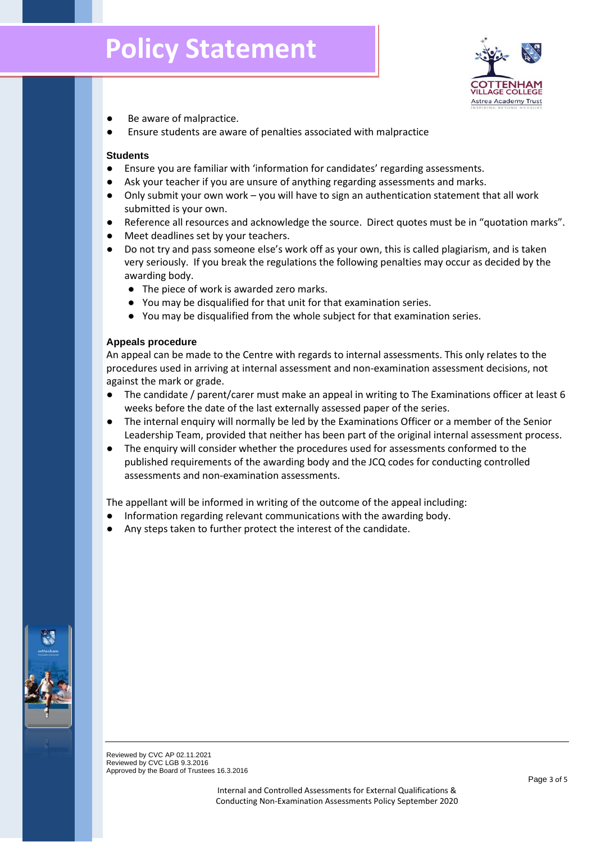## **Policy Statement**



- Be aware of malpractice.
- Ensure students are aware of penalties associated with malpractice

#### **Students**

- Ensure you are familiar with 'information for candidates' regarding assessments.
- Ask your teacher if you are unsure of anything regarding assessments and marks.
- Only submit your own work you will have to sign an authentication statement that all work submitted is your own.
- Reference all resources and acknowledge the source. Direct quotes must be in "quotation marks".
- Meet deadlines set by your teachers.
- Do not try and pass someone else's work off as your own, this is called plagiarism, and is taken very seriously. If you break the regulations the following penalties may occur as decided by the awarding body.
	- The piece of work is awarded zero marks.
	- You may be disqualified for that unit for that examination series.
	- You may be disqualified from the whole subject for that examination series.

#### **Appeals procedure**

An appeal can be made to the Centre with regards to internal assessments. This only relates to the procedures used in arriving at internal assessment and non-examination assessment decisions, not against the mark or grade.

- The candidate / parent/carer must make an appeal in writing to The Examinations officer at least 6 weeks before the date of the last externally assessed paper of the series.
- The internal enquiry will normally be led by the Examinations Officer or a member of the Senior Leadership Team, provided that neither has been part of the original internal assessment process.
- The enquiry will consider whether the procedures used for assessments conformed to the published requirements of the awarding body and the JCQ codes for conducting controlled assessments and non-examination assessments.

The appellant will be informed in writing of the outcome of the appeal including:

- Information regarding relevant communications with the awarding body.
- Any steps taken to further protect the interest of the candidate.

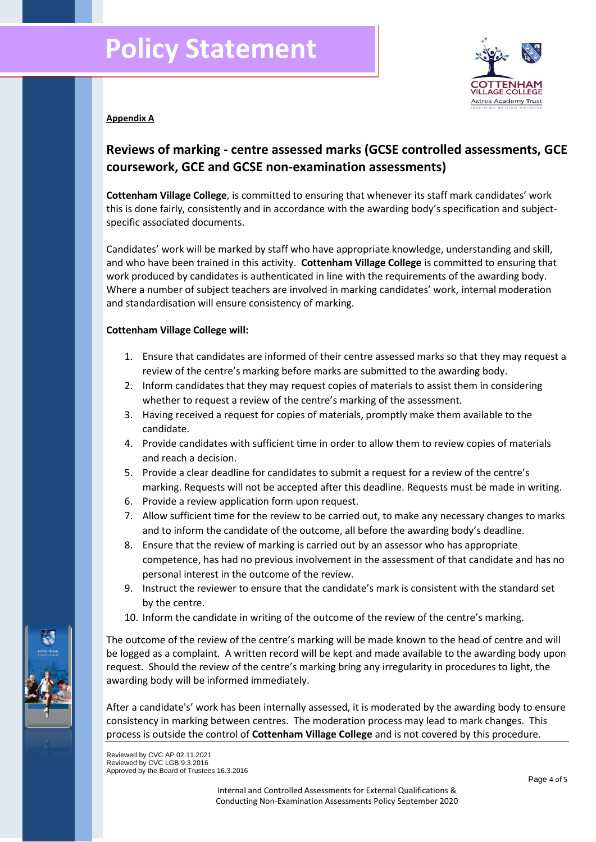

**Appendix A**

### **Reviews of marking - centre assessed marks (GCSE controlled assessments, GCE coursework, GCE and GCSE non-examination assessments)**

**Cottenham Village College**, is committed to ensuring that whenever its staff mark candidates' work this is done fairly, consistently and in accordance with the awarding body's specification and subjectspecific associated documents.

Candidates' work will be marked by staff who have appropriate knowledge, understanding and skill, and who have been trained in this activity. **Cottenham Village College** is committed to ensuring that work produced by candidates is authenticated in line with the requirements of the awarding body. Where a number of subject teachers are involved in marking candidates' work, internal moderation and standardisation will ensure consistency of marking.

#### **Cottenham Village College will:**

- 1. Ensure that candidates are informed of their centre assessed marks so that they may request a review of the centre's marking before marks are submitted to the awarding body.
- 2. Inform candidates that they may request copies of materials to assist them in considering whether to request a review of the centre's marking of the assessment.
- 3. Having received a request for copies of materials, promptly make them available to the candidate.
- 4. Provide candidates with sufficient time in order to allow them to review copies of materials and reach a decision.
- 5. Provide a clear deadline for candidates to submit a request for a review of the centre's marking. Requests will not be accepted after this deadline. Requests must be made in writing.
- 6. Provide a review application form upon request.
- 7. Allow sufficient time for the review to be carried out, to make any necessary changes to marks and to inform the candidate of the outcome, all before the awarding body's deadline.
- 8. Ensure that the review of marking is carried out by an assessor who has appropriate competence, has had no previous involvement in the assessment of that candidate and has no personal interest in the outcome of the review.
- 9. Instruct the reviewer to ensure that the candidate's mark is consistent with the standard set by the centre.
- 10. Inform the candidate in writing of the outcome of the review of the centre's marking.

The outcome of the review of the centre's marking will be made known to the head of centre and will be logged as a complaint. A written record will be kept and made available to the awarding body upon request. Should the review of the centre's marking bring any irregularity in procedures to light, the awarding body will be informed immediately.

After a candidate's' work has been internally assessed, it is moderated by the awarding body to ensure consistency in marking between centres. The moderation process may lead to mark changes. This process is outside the control of **Cottenham Village College** and is not covered by this procedure.